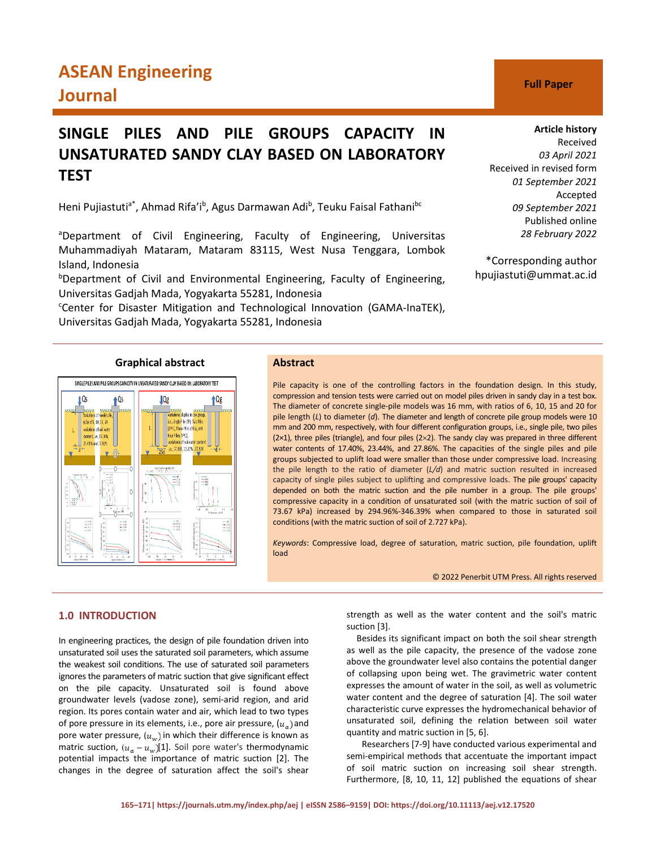# **ASEAN Engineering Journal C Full Paper**

# **SINGLE PILES AND PILE GROUPS CAPACITY IN UNSATURATED SANDY CLAY BASED ON LABORATORY TEST**

Heni Pujiastuti<sup>a\*</sup>, Ahmad Rifa'i<sup>b</sup>, Agus Darmawan Adi<sup>b</sup>, Teuku Faisal Fathani<sup>bc</sup>

aDepartment of Civil Engineering, Faculty of Engineering, Universitas Muhammadiyah Mataram, Mataram 83115, West Nusa Tenggara, Lombok Island, Indonesia

<sup>b</sup>Department of Civil and Environmental Engineering, Faculty of Engineering, Universitas Gadjah Mada, Yogyakarta 55281, Indonesia

<sup>c</sup>Center for Disaster Mitigation and Technological Innovation (GAMA-InaTEK), Universitas Gadjah Mada, Yogyakarta 55281, Indonesia

# **Article history**

Received *03 April 2021* Received in revised form *01 September 2021* Accepted *09 September 2021* Published online *28 February 2022*

\*Corresponding author hpujiastuti@ummat.ac.id

# **Graphical abstract Abstract**



Pile capacity is one of the controlling factors in the foundation design. In this study, compression and tension tests were carried out on model piles driven in sandy clay in a test box. The diameter of concrete single-pile models was 16 mm, with ratios of 6, 10, 15 and 20 for pile length (*L*) to diameter (*d*). The diameter and length of concrete pile group models were 10 mm and 200 mm, respectively, with four different configuration groups, i.e., single pile, two piles (2×1), three piles (triangle), and four piles (2×2). The sandy clay was prepared in three different water contents of 17.40%, 23.44%, and 27.86%. The capacities of the single piles and pile groups subjected to uplift load were smaller than those under compressive load. Increasing the pile length to the ratio of diameter (*L/d*) and matric suction resulted in increased capacity of single piles subject to uplifting and compressive loads. The pile groups' capacity depended on both the matric suction and the pile number in a group. The pile groups' compressive capacity in a condition of unsaturated soil (with the matric suction of soil of 73.67 kPa) increased by 294.96%-346.39% when compared to those in saturated soil conditions (with the matric suction of soil of 2.727 kPa).

*Keywords*: Compressive load, degree of saturation, matric suction, pile foundation, uplift load

© 2022 Penerbit UTM Press. All rights reserved

# **1.0 INTRODUCTION**

In engineering practices, the design of pile foundation driven into unsaturated soil uses the saturated soil parameters, which assume the weakest soil conditions. The use of saturated soil parameters ignores the parameters of matric suction that give significant effect on the pile capacity. Unsaturated soil is found above groundwater levels (vadose zone), semi-arid region, and arid region. Its pores contain water and air, which lead to two types of pore pressure in its elements, i.e., pore air pressure,  $(u_{\alpha})$  and pore water pressure,  $(u_w)$  in which their difference is known as matric suction,  $(u_{\alpha}-u_{\omega})[1]$ . Soil pore water's thermodynamic potential impacts the importance of matric suction [2]. The changes in the degree of saturation affect the soil's shear

strength as well as the water content and the soil's matric suction [3].

Besides its significant impact on both the soil shear strength as well as the pile capacity, the presence of the vadose zone above the groundwater level also contains the potential danger of collapsing upon being wet. The gravimetric water content expresses the amount of water in the soil, as well as volumetric water content and the degree of saturation [4]. The soil water characteristic curve expresses the hydromechanical behavior of unsaturated soil, defining the relation between soil water quantity and matric suction in [5, 6].

Researchers [7-9] have conducted various experimental and semi-empirical methods that accentuate the important impact of soil matric suction on increasing soil shear strength. Furthermore, [8, 10, 11, 12] published the equations of shear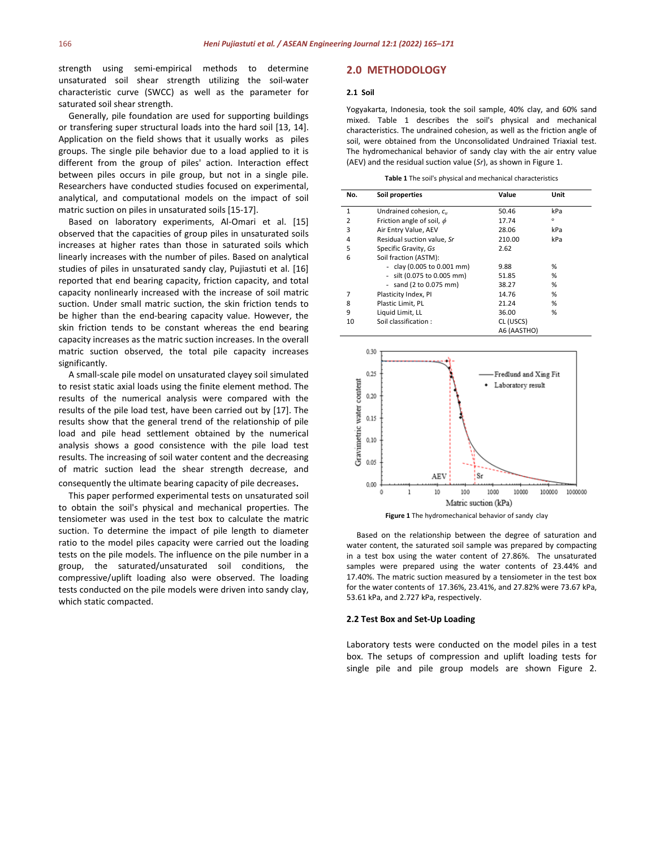strength using semi-empirical methods to determine unsaturated soil shear strength utilizing the soil-water characteristic curve (SWCC) as well as the parameter for saturated soil shear strength.

Generally, pile foundation are used for supporting buildings or transfering super structural loads into the hard soil [13, 14]. Application on the field shows that it usually works as piles groups. The single pile behavior due to a load applied to it is different from the group of piles' action. Interaction effect between piles occurs in pile group, but not in a single pile. Researchers have conducted studies focused on experimental, analytical, and computational models on the impact of soil matric suction on piles in unsaturated soils [15-17].

Based on laboratory experiments, Al-Omari et al. [15] observed that the capacities of group piles in unsaturated soils increases at higher rates than those in saturated soils which linearly increases with the number of piles. Based on analytical studies of piles in unsaturated sandy clay, Pujiastuti et al. [16] reported that end bearing capacity, friction capacity, and total capacity nonlinearly increased with the increase of soil matric suction. Under small matric suction, the skin friction tends to be higher than the end-bearing capacity value. However, the skin friction tends to be constant whereas the end bearing capacity increases as the matric suction increases. In the overall matric suction observed, the total pile capacity increases significantly.

A small-scale pile model on unsaturated clayey soil simulated to resist static axial loads using the finite element method. The results of the numerical analysis were compared with the results of the pile load test, have been carried out by [17]. The results show that the general trend of the relationship of pile load and pile head settlement obtained by the numerical analysis shows a good consistence with the pile load test results. The increasing of soil water content and the decreasing of matric suction lead the shear strength decrease, and consequently the ultimate bearing capacity of pile decreases.

This paper performed experimental tests on unsaturated soil to obtain the soil's physical and mechanical properties. The tensiometer was used in the test box to calculate the matric suction. To determine the impact of pile length to diameter ratio to the model piles capacity were carried out the loading tests on the pile models. The influence on the pile number in a group, the saturated/unsaturated soil conditions, the compressive/uplift loading also were observed. The loading tests conducted on the pile models were driven into sandy clay, which static compacted.

# **2.0 METHODOLOGY**

### **2.1 Soil**

Yogyakarta, Indonesia, took the soil sample, 40% clay, and 60% sand mixed. Table 1 describes the soil's physical and mechanical characteristics. The undrained cohesion, as well as the friction angle of soil, were obtained from the Unconsolidated Undrained Triaxial test. The hydromechanical behavior of sandy clay with the air entry value (AEV) and the residual suction value (*Sr*), as shown in Figure 1.

**Table 1** The soil's physical and mechanical characteristics

| No.            | Soil properties                | Value       | Unit    |
|----------------|--------------------------------|-------------|---------|
| $\mathbf{1}$   | Undrained cohesion, c.,        | 50.46       | kPa     |
| $\overline{2}$ | Friction angle of soil, $\phi$ | 17.74       | $\circ$ |
| 3              | Air Entry Value, AEV           | 28.06       | kPa     |
| 4              | Residual suction value, Sr     | 210.00      | kPa     |
| 5              | Specific Gravity, Gs           | 2.62        |         |
| 6              | Soil fraction (ASTM):          |             |         |
|                | - clay (0.005 to 0.001 mm)     | 9.88        | %       |
|                | - silt (0.075 to 0.005 mm)     | 51.85       | %       |
|                | - sand $(2 to 0.075 mm)$       | 38.27       | %       |
| 7              | Plasticity Index, PI           | 14.76       | %       |
| 8              | Plastic Limit, PL              | 21.24       | %       |
| 9              | Liquid Limit, LL               | 36.00       | %       |
| 10             | Soil classification:           | CL (USCS)   |         |
|                |                                | A6 (AASTHO) |         |





Based on the relationship between the degree of saturation and water content, the saturated soil sample was prepared by compacting in a test box using the water content of 27.86%. The unsaturated samples were prepared using the water contents of 23.44% and 17.40%. The matric suction measured by a tensiometer in the test box for the water contents of 17.36%, 23.41%, and 27.82% were 73.67 kPa, 53.61 kPa, and 2.727 kPa, respectively.

### **2.2 Test Box and Set-Up Loading**

Laboratory tests were conducted on the model piles in a test box. The setups of compression and uplift loading tests for single pile and pile group models are shown Figure 2.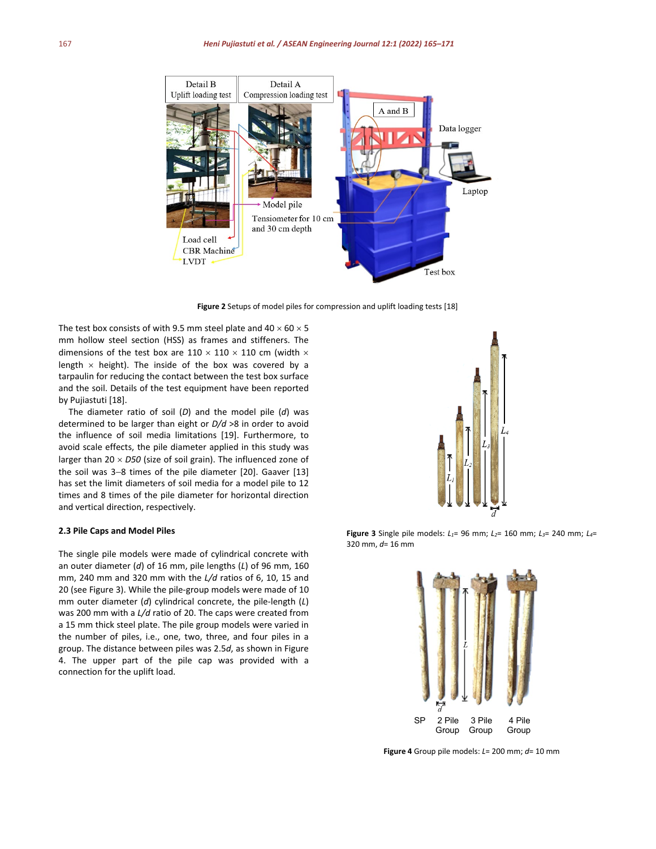

**Figure 2** Setups of model piles for compression and uplift loading tests [18]

The test box consists of with 9.5 mm steel plate and  $40 \times 60 \times 5$ mm hollow steel section (HSS) as frames and stiffeners. The dimensions of the test box are  $110 \times 110 \times 110$  cm (width  $\times$ length  $\times$  height). The inside of the box was covered by a tarpaulin for reducing the contact between the test box surface and the soil. Details of the test equipment have been reported by Pujiastuti [18].

The diameter ratio of soil (*D*) and the model pile (*d*) was determined to be larger than eight or *D/d* >8 in order to avoid the influence of soil media limitations [19]. Furthermore, to avoid scale effects, the pile diameter applied in this study was larger than 20 × *D50* (size of soil grain). The influenced zone of the soil was 3−8 times of the pile diameter [20]. Gaaver [13] has set the limit diameters of soil media for a model pile to 12 times and 8 times of the pile diameter for horizontal direction and vertical direction, respectively.

# **2.3 Pile Caps and Model Piles**

The single pile models were made of cylindrical concrete with an outer diameter (*d*) of 16 mm, pile lengths (*L*) of 96 mm, 160 mm, 240 mm and 320 mm with the *L/d* ratios of 6, 10, 15 and 20 (see Figure 3). While the pile-group models were made of 10 mm outer diameter (*d*) cylindrical concrete, the pile-length (*L*) was 200 mm with a *L/d* ratio of 20. The caps were created from a 15 mm thick steel plate. The pile group models were varied in the number of piles, i.e., one, two, three, and four piles in a group. The distance between piles was 2.5*d*, as shown in Figure 4. The upper part of the pile cap was provided with a connection for the uplift load.



**Figure 3** Single pile models: *L1*= 96 mm; *L2*= 160 mm; *L3*= 240 mm; *L4*= 320 mm, *d*= 16 mm



**Figure 4** Group pile models: *L*= 200 mm; *d*= 10 mm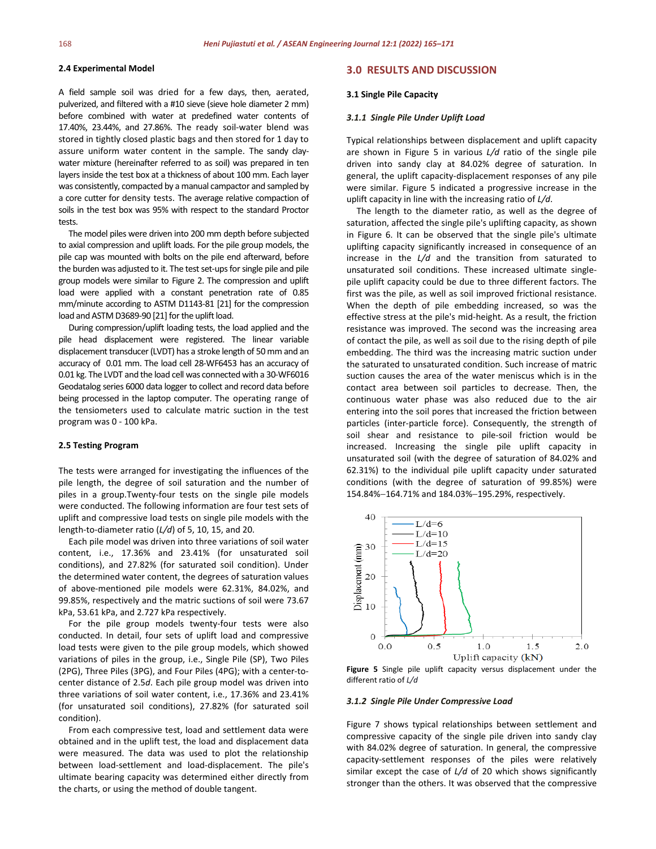# **2.4 Experimental Model**

A field sample soil was dried for a few days, then, aerated, pulverized, and filtered with a #10 sieve (sieve hole diameter 2 mm) before combined with water at predefined water contents of 17.40%, 23.44%, and 27.86%. The ready soil-water blend was stored in tightly closed plastic bags and then stored for 1 day to assure uniform water content in the sample. The sandy claywater mixture (hereinafter referred to as soil) was prepared in ten layers inside the test box at a thickness of about 100 mm. Each layer was consistently, compacted by a manual campactor and sampled by a core cutter for density tests. The average relative compaction of soils in the test box was 95% with respect to the standard Proctor tests.

The model piles were driven into 200 mm depth before subjected to axial compression and uplift loads. For the pile group models, the pile cap was mounted with bolts on the pile end afterward, before the burden was adjusted to it. The test set-upsfor single pile and pile group models were similar to Figure 2. The compression and uplift load were applied with a constant penetration rate of 0.85 mm/minute according to ASTM D1143-81 [21] for the compression load and ASTM D3689-90 [21] for the uplift load.

During compression/uplift loading tests, the load applied and the pile head displacement were registered. The linear variable displacement transducer (LVDT) has a stroke length of 50 mm and an accuracy of 0.01 mm. The load cell 28-WF6453 has an accuracy of 0.01 kg. The LVDT and the load cell was connected with a 30-WF6016 Geodatalog series 6000 data logger to collect and record data before being processed in the laptop computer. The operating range of the tensiometers used to calculate matric suction in the test program was 0 - 100 kPa.

#### **2.5 Testing Program**

The tests were arranged for investigating the influences of the pile length, the degree of soil saturation and the number of piles in a group.Twenty-four tests on the single pile models were conducted. The following information are four test sets of uplift and compressive load tests on single pile models with the length-to-diameter ratio (*L/d*) of 5, 10, 15, and 20.

Each pile model was driven into three variations of soil water content, i.e., 17.36% and 23.41% (for unsaturated soil conditions), and 27.82% (for saturated soil condition). Under the determined water content, the degrees of saturation values of above-mentioned pile models were 62.31%, 84.02%, and 99.85%, respectively and the matric suctions of soil were 73.67 kPa, 53.61 kPa, and 2.727 kPa respectively.

For the pile group models twenty-four tests were also conducted. In detail, four sets of uplift load and compressive load tests were given to the pile group models, which showed variations of piles in the group, i.e., Single Pile (SP), Two Piles (2PG), Three Piles (3PG), and Four Piles (4PG); with a center-tocenter distance of 2.5*d*. Each pile group model was driven into three variations of soil water content, i.e., 17.36% and 23.41% (for unsaturated soil conditions), 27.82% (for saturated soil condition).

From each compressive test, load and settlement data were obtained and in the uplift test, the load and displacement data were measured. The data was used to plot the relationship between load-settlement and load-displacement. The pile's ultimate bearing capacity was determined either directly from the charts, or using the method of double tangent.

# **3.0 RESULTS AND DISCUSSION**

#### **3.1 Single Pile Capacity**

#### *3.1.1 Single Pile Under Uplift Load*

Typical relationships between displacement and uplift capacity are shown in Figure 5 in various *L/d* ratio of the single pile driven into sandy clay at 84.02% degree of saturation. In general, the uplift capacity-displacement responses of any pile were similar. Figure 5 indicated a progressive increase in the uplift capacity in line with the increasing ratio of *L/d*.

The length to the diameter ratio, as well as the degree of saturation, affected the single pile's uplifting capacity, as shown in Figure 6. It can be observed that the single pile's ultimate uplifting capacity significantly increased in consequence of an increase in the *L/d* and the transition from saturated to unsaturated soil conditions. These increased ultimate singlepile uplift capacity could be due to three different factors. The first was the pile, as well as soil improved frictional resistance. When the depth of pile embedding increased, so was the effective stress at the pile's mid-height. As a result, the friction resistance was improved. The second was the increasing area of contact the pile, as well as soil due to the rising depth of pile embedding. The third was the increasing matric suction under the saturated to unsaturated condition. Such increase of matric suction causes the area of the water meniscus which is in the contact area between soil particles to decrease. Then, the continuous water phase was also reduced due to the air entering into the soil pores that increased the friction between particles (inter-particle force). Consequently, the strength of soil shear and resistance to pile-soil friction would be increased. Increasing the single pile uplift capacity in unsaturated soil (with the degree of saturation of 84.02% and 62.31%) to the individual pile uplift capacity under saturated conditions (with the degree of saturation of 99.85%) were 154.84%−164.71% and 184.03%−195.29%, respectively.



**Figure 5** Single pile uplift capacity versus displacement under the different ratio of *L/d*

# *3.1.2 Single Pile Under Compressive Load*

Figure 7 shows typical relationships between settlement and compressive capacity of the single pile driven into sandy clay with 84.02% degree of saturation. In general, the compressive capacity-settlement responses of the piles were relatively similar except the case of *L/d* of 20 which shows significantly stronger than the others. It was observed that the compressive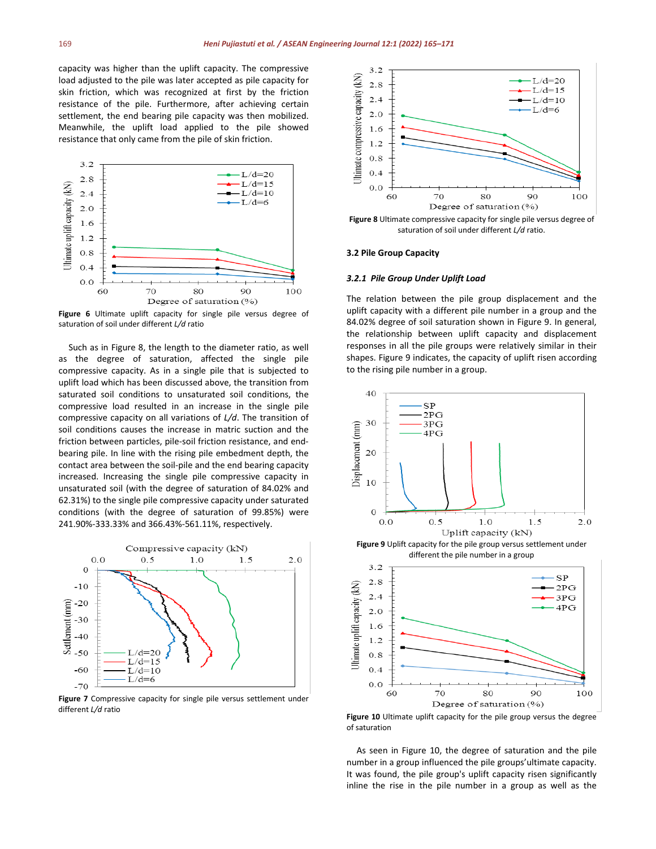capacity was higher than the uplift capacity. The compressive load adjusted to the pile was later accepted as pile capacity for skin friction, which was recognized at first by the friction resistance of the pile. Furthermore, after achieving certain settlement, the end bearing pile capacity was then mobilized. Meanwhile, the uplift load applied to the pile showed resistance that only came from the pile of skin friction.



**Figure 6** Ultimate uplift capacity for single pile versus degree of saturation of soil under different *L/d* ratio

Such as in Figure 8, the length to the diameter ratio, as well as the degree of saturation, affected the single pile compressive capacity. As in a single pile that is subjected to uplift load which has been discussed above, the transition from saturated soil conditions to unsaturated soil conditions, the compressive load resulted in an increase in the single pile compressive capacity on all variations of *L/d*. The transition of soil conditions causes the increase in matric suction and the friction between particles, pile-soil friction resistance, and endbearing pile. In line with the rising pile embedment depth, the contact area between the soil-pile and the end bearing capacity increased. Increasing the single pile compressive capacity in unsaturated soil (with the degree of saturation of 84.02% and 62.31%) to the single pile compressive capacity under saturated conditions (with the degree of saturation of 99.85%) were 241.90%-333.33% and 366.43%-561.11%, respectively.



**Figure 7** Compressive capacity for single pile versus settlement under different *L/d* ratio



**Figure 8** Ultimate compressive capacity for single pile versus degree of saturation of soil under different *L/d* ratio.

# **3.2 Pile Group Capacity**

#### *3.2.1 Pile Group Under Uplift Load*

The relation between the pile group displacement and the uplift capacity with a different pile number in a group and the 84.02% degree of soil saturation shown in Figure 9. In general, the relationship between uplift capacity and displacement responses in all the pile groups were relatively similar in their shapes. Figure 9 indicates, the capacity of uplift risen according to the rising pile number in a group.



**Figure 9** Uplift capacity for the pile group versus settlement under different the pile number in a group



**Figure 10** Ultimate uplift capacity for the pile group versus the degree of saturation

As seen in Figure 10, the degree of saturation and the pile number in a group influenced the pile groups'ultimate capacity. It was found, the pile group's uplift capacity risen significantly inline the rise in the pile number in a group as well as the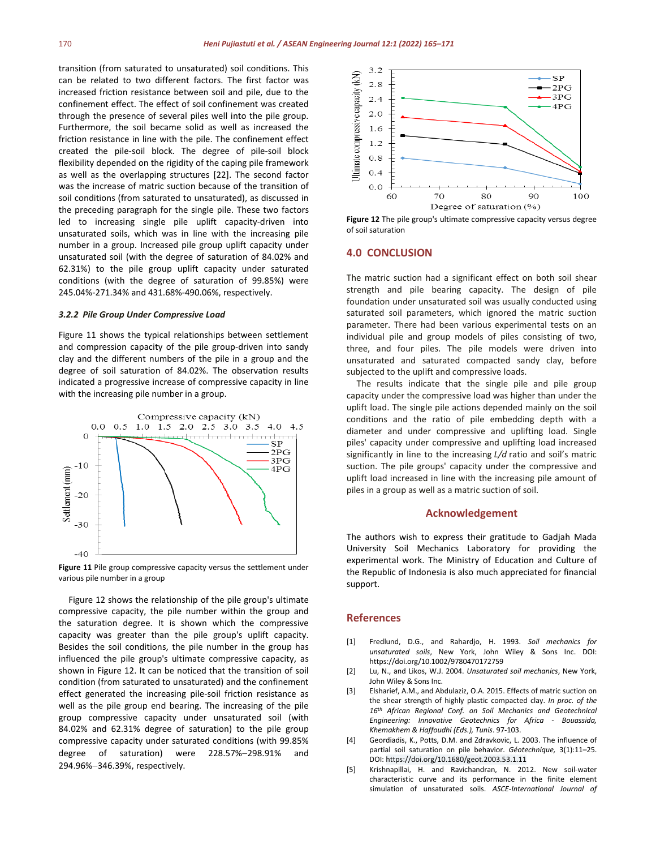transition (from saturated to unsaturated) soil conditions. This can be related to two different factors. The first factor was increased friction resistance between soil and pile, due to the confinement effect. The effect of soil confinement was created through the presence of several piles well into the pile group. Furthermore, the soil became solid as well as increased the friction resistance in line with the pile. The confinement effect created the pile-soil block. The degree of pile-soil block flexibility depended on the rigidity of the caping pile framework as well as the overlapping structures [22]. The second factor was the increase of matric suction because of the transition of soil conditions (from saturated to unsaturated), as discussed in the preceding paragraph for the single pile. These two factors led to increasing single pile uplift capacity-driven into unsaturated soils, which was in line with the increasing pile number in a group. Increased pile group uplift capacity under unsaturated soil (with the degree of saturation of 84.02% and 62.31%) to the pile group uplift capacity under saturated conditions (with the degree of saturation of 99.85%) were 245.04%-271.34% and 431.68%-490.06%, respectively.

#### *3.2.2 Pile Group Under Compressive Load*

Figure 11 shows the typical relationships between settlement and compression capacity of the pile group-driven into sandy clay and the different numbers of the pile in a group and the degree of soil saturation of 84.02%. The observation results indicated a progressive increase of compressive capacity in line with the increasing pile number in a group.



**Figure 11** Pile group compressive capacity versus the settlement under various pile number in a group

Figure 12 shows the relationship of the pile group's ultimate compressive capacity, the pile number within the group and the saturation degree. It is shown which the compressive capacity was greater than the pile group's uplift capacity. Besides the soil conditions, the pile number in the group has influenced the pile group's ultimate compressive capacity, as shown in Figure 12. It can be noticed that the transition of soil condition (from saturated to unsaturated) and the confinement effect generated the increasing pile-soil friction resistance as well as the pile group end bearing. The increasing of the pile group compressive capacity under unsaturated soil (with 84.02% and 62.31% degree of saturation) to the pile group compressive capacity under saturated conditions (with 99.85% degree of saturation) were 228.57%−298.91% and 294.96%−346.39%, respectively.



**Figure 12** The pile group's ultimate compressive capacity versus degree of soil saturation

# **4.0 CONCLUSION**

The matric suction had a significant effect on both soil shear strength and pile bearing capacity. The design of pile foundation under unsaturated soil was usually conducted using saturated soil parameters, which ignored the matric suction parameter. There had been various experimental tests on an individual pile and group models of piles consisting of two, three, and four piles. The pile models were driven into unsaturated and saturated compacted sandy clay, before subjected to the uplift and compressive loads.

The results indicate that the single pile and pile group capacity under the compressive load was higher than under the uplift load. The single pile actions depended mainly on the soil conditions and the ratio of pile embedding depth with a diameter and under compressive and uplifting load. Single piles' capacity under compressive and uplifting load increased significantly in line to the increasing *L/d* ratio and soil's matric suction. The pile groups' capacity under the compressive and uplift load increased in line with the increasing pile amount of piles in a group as well as a matric suction of soil.

# **Acknowledgement**

The authors wish to express their gratitude to Gadjah Mada University Soil Mechanics Laboratory for providing the experimental work. The Ministry of Education and Culture of the Republic of Indonesia is also much appreciated for financial support.

# **References**

- [1] Fredlund, D.G., and Rahardjo, H. 1993. *Soil mechanics for unsaturated soils*, New York, John Wiley & Sons Inc. DOI: <https://doi.org/10.1002/9780470172759>
- [2] Lu, N., and Likos, W.J. 2004. *Unsaturated soil mechanics*, New York, John Wiley & Sons Inc.
- [3] Elsharief, A.M., and Abdulaziz, O.A. 2015. Effects of matric suction on the shear strength of highly plastic compacted clay. *In proc. of the 16th African Regional Conf. on Soil Mechanics and Geotechnical Engineering: Innovative Geotechnics for Africa - Bouassida, Khemakhem & Haffoudhi (Eds.), Tunis*. 97-103.
- [4] Geordiadis, K., Potts, D.M. and Zdravkovic, L. 2003. The influence of partial soil saturation on pile behavior. *Géotechnique,* 3(1):11–25. DOI[: https://doi.org/10.1680/geot.2003.53.1.11](https://doi.org/10.1680/geot.2003.53.1.11)
- [5] Krishnapillai, H. and Ravichandran, N. 2012. New soil-water characteristic curve and its performance in the finite element simulation of unsaturated soils. *ASCE-International Journal of*